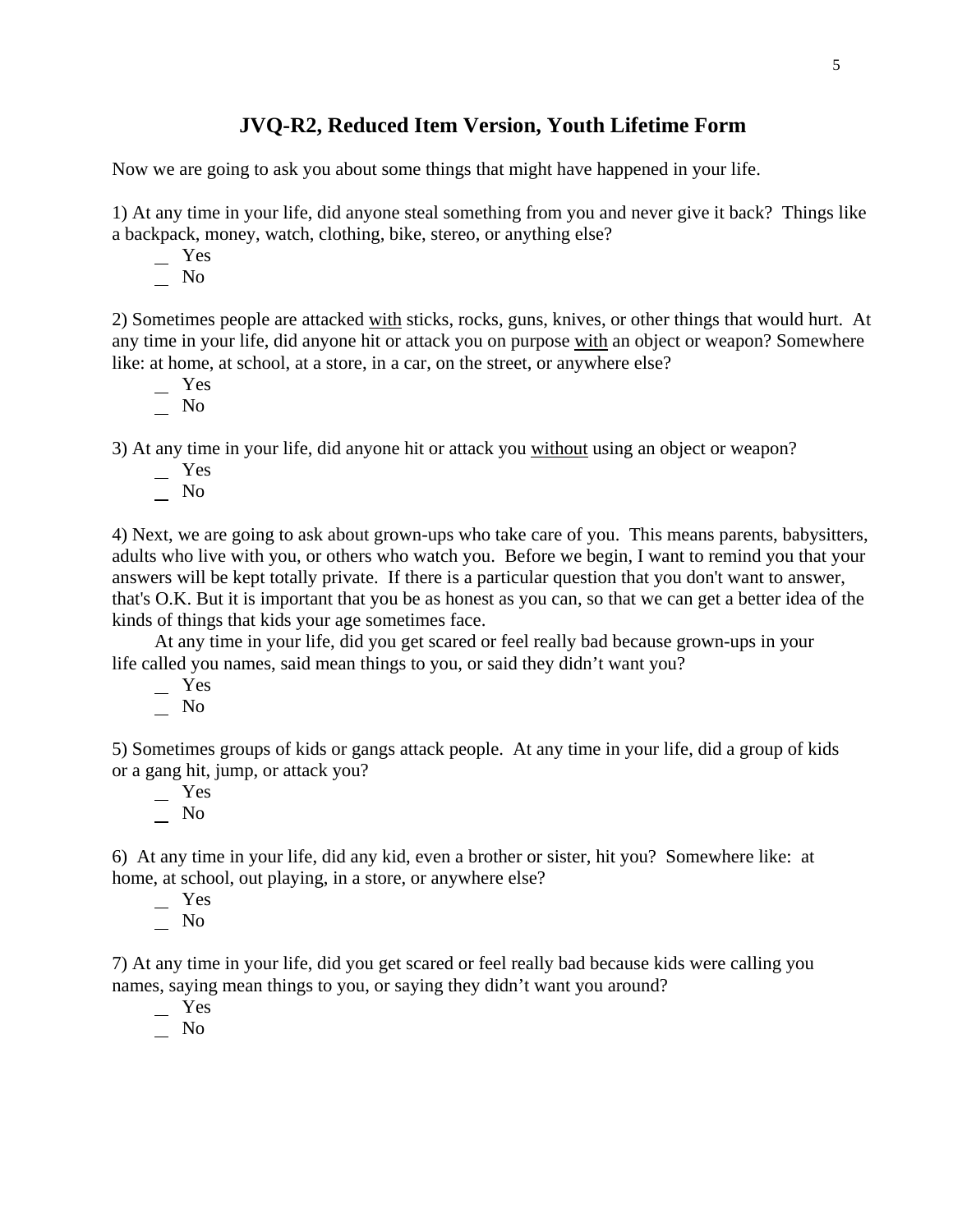## **JVQ-R2, Reduced Item Version, Youth Lifetime Form**

Now we are going to ask you about some things that might have happened in your life.

1) At any time in your life, did anyone steal something from you and never give it back? Things like a backpack, money, watch, clothing, bike, stereo, or anything else?

Yes

No

2) Sometimes people are attacked with sticks, rocks, guns, knives, or other things that would hurt. At any time in your life, did anyone hit or attack you on purpose with an object or weapon? Somewhere like: at home, at school, at a store, in a car, on the street, or anywhere else?

- Yes
- $\overline{\phantom{0}}$  No

3) At any time in your life, did anyone hit or attack you without using an object or weapon?

- Yes
- $\overline{\phantom{0}}$  No

4) Next, we are going to ask about grown-ups who take care of you. This means parents, babysitters, adults who live with you, or others who watch you. Before we begin, I want to remind you that your answers will be kept totally private. If there is a particular question that you don't want to answer, that's O.K. But it is important that you be as honest as you can, so that we can get a better idea of the kinds of things that kids your age sometimes face.

At any time in your life, did you get scared or feel really bad because grown-ups in your life called you names, said mean things to you, or said they didn't want you?

Yes

 $\overline{\phantom{0}}$  No

5) Sometimes groups of kids or gangs attack people. At any time in your life, did a group of kids or a gang hit, jump, or attack you?

 Yes No

6) At any time in your life, did any kid, even a brother or sister, hit you? Somewhere like: at home, at school, out playing, in a store, or anywhere else?

- Yes
- $\overline{\phantom{0}}$  No

7) At any time in your life, did you get scared or feel really bad because kids were calling you names, saying mean things to you, or saying they didn't want you around?

 Yes No